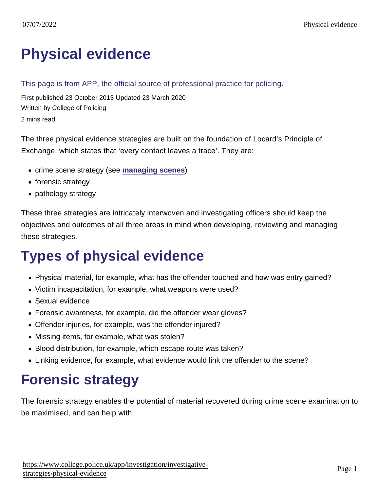# [Physical evidence](https://www.college.police.uk/app/investigation/investigative-strategies/physical-evidence)

#### This page is from APP, the official source of professional practice for policing.

First published 23 October 2013 Updated 23 March 2020 Written by College of Policing 2 mins read

The three physical evidence strategies are built on the foundation of Locard's Principle of Exchange, which states that 'every contact leaves a trace'. They are:

- crime scene strategy (see [managing scenes](https://www.app.college.police.uk/app-content/investigations/managing-investigations/#managing-scenes))
- forensic strategy
- pathology strategy

These three strategies are intricately interwoven and investigating officers should keep the objectives and outcomes of all three areas in mind when developing, reviewing and managing these strategies.

## Types of physical evidence

- Physical material, for example, what has the offender touched and how was entry gained?
- Victim incapacitation, for example, what weapons were used?
- Sexual evidence
- Forensic awareness, for example, did the offender wear gloves?
- Offender injuries, for example, was the offender injured?
- Missing items, for example, what was stolen?
- Blood distribution, for example, which escape route was taken?
- Linking evidence, for example, what evidence would link the offender to the scene?

## Forensic strategy

The forensic strategy enables the potential of material recovered during crime scene examination to be maximised, and can help with: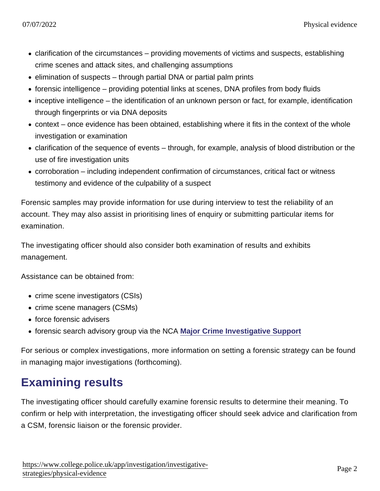- clarification of the circumstances providing movements of victims and suspects, establishing crime scenes and attack sites, and challenging assumptions
- elimination of suspects through partial DNA or partial palm prints
- forensic intelligence providing potential links at scenes, DNA profiles from body fluids
- inceptive intelligence the identification of an unknown person or fact, for example, identification through fingerprints or via DNA deposits
- context once evidence has been obtained, establishing where it fits in the context of the whole investigation or examination
- clarification of the sequence of events through, for example, analysis of blood distribution or the use of fire investigation units
- corroboration including independent confirmation of circumstances, critical fact or witness testimony and evidence of the culpability of a suspect

Forensic samples may provide information for use during interview to test the reliability of an account. They may also assist in prioritising lines of enquiry or submitting particular items for examination.

The investigating officer should also consider both examination of results and exhibits management.

Assistance can be obtained from:

- crime scene investigators (CSIs)
- crime scene managers (CSMs)
- force forensic advisers
- forensic search advisory group via the NCA [Major Crime Investigative Support](https://www.nationalcrimeagency.gov.uk/what-we-do/how-we-work/providing-specialist-capabilities-for-law-enforcement/major-crime-investigative-support)

For serious or complex investigations, more information on setting a forensic strategy can be found in managing major investigations (forthcoming).

#### Examining results

The investigating officer should carefully examine forensic results to determine their meaning. To confirm or help with interpretation, the investigating officer should seek advice and clarification from a CSM, forensic liaison or the forensic provider.